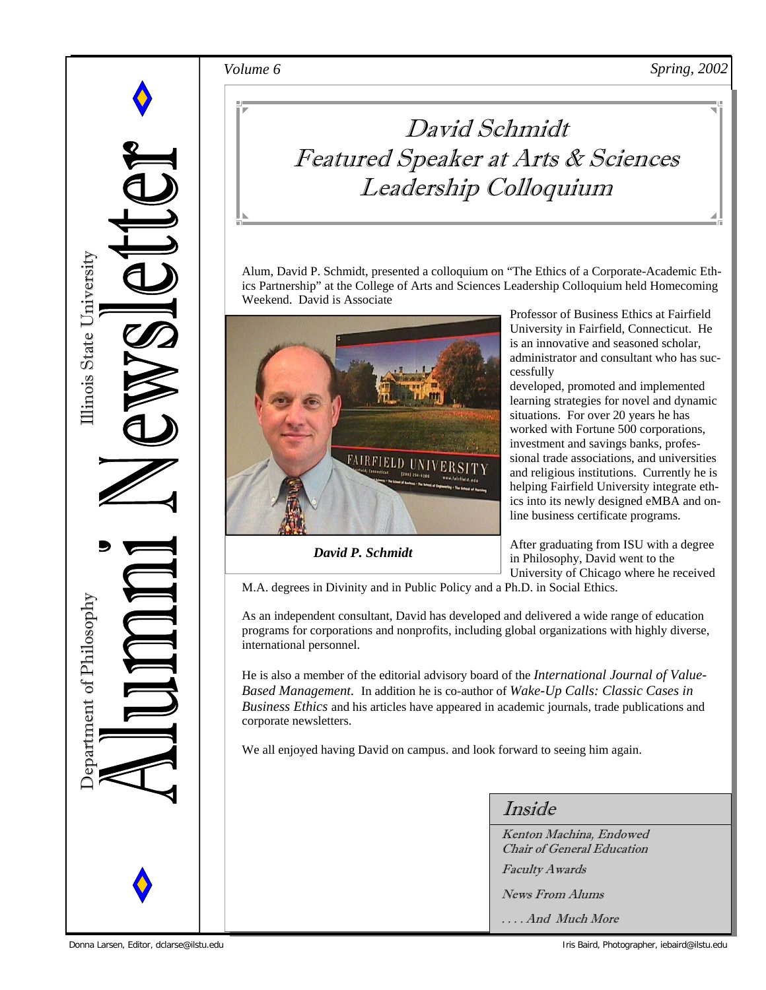*Volume 6 Spring, 2002* 



## David Schmidt Featured Speaker at Arts & Sciences Leadership Colloquium

Alum, David P. Schmidt, presented a colloquium on "The Ethics of a Corporate-Academic Ethics Partnership" at the College of Arts and Sciences Leadership Colloquium held Homecoming Weekend. David is Associate



*David P. Schmidt* 

Professor of Business Ethics at Fairfield University in Fairfield, Connecticut. He is an innovative and seasoned scholar, administrator and consultant who has successfully

developed, promoted and implemented learning strategies for novel and dynamic situations. For over 20 years he has worked with Fortune 500 corporations, investment and savings banks, professional trade associations, and universities and religious institutions. Currently he is helping Fairfield University integrate ethics into its newly designed eMBA and online business certificate programs.

After graduating from ISU with a degree in Philosophy, David went to the University of Chicago where he received

M.A. degrees in Divinity and in Public Policy and a Ph.D. in Social Ethics.

As an independent consultant, David has developed and delivered a wide range of education programs for corporations and nonprofits, including global organizations with highly diverse, international personnel.

He is also a member of the editorial advisory board of the *International Journal of Value-Based Management.* In addition he is co-author of *Wake-Up Calls: Classic Cases in Business Ethics* and his articles have appeared in academic journals, trade publications and corporate newsletters.

We all enjoyed having David on campus. and look forward to seeing him again.

Inside

Kenton Machina, Endowed Chair of General Education Faculty Awards News From Alums

. . . . And Much More

Donna Larsen, Editor, dclarse@ilstu.edu Iris Baird, Photographer, iebaird@ilstu.edu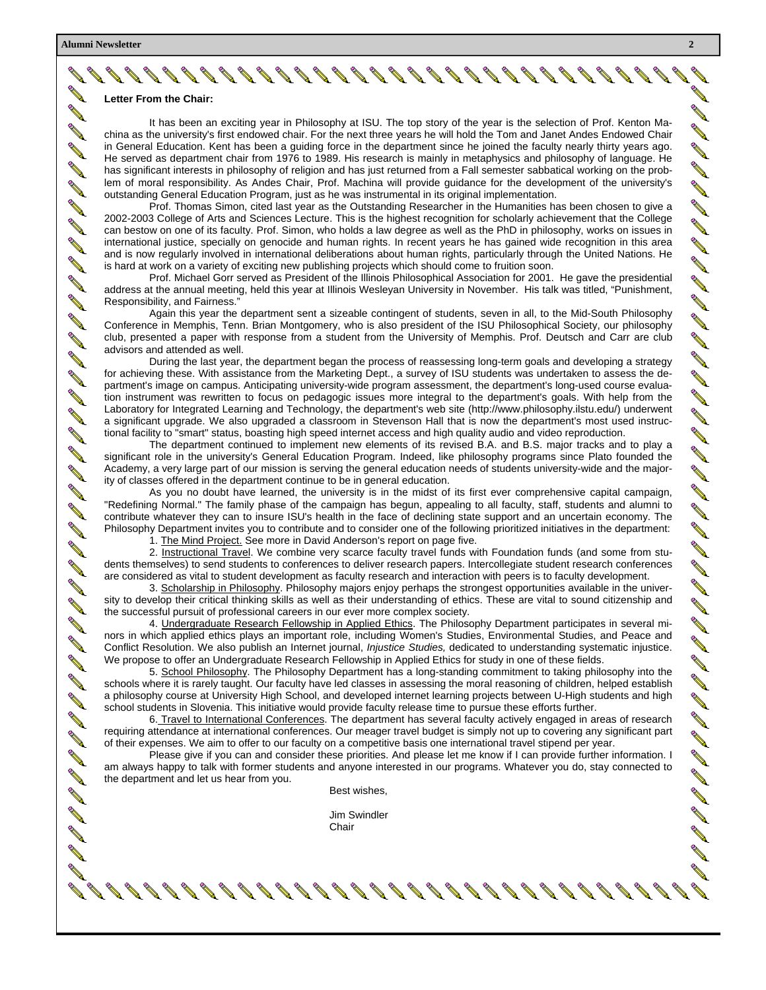**ANTI ANTI Contract of the Contract of the Contract of the Contract of the Contract of The Contract of The Contract of The Contract of The Contract of The Contract of The Contract of The Contract of The Contract of The Contract of T ANTI Contract Contract Contract Contract Contract Contract Contract Contract Contract Contract Contract Contract Co CONTRACTOR** 

**ANTI** 

**ANTI** 

**Contract Contract Contract Contract Contract Contract Contract Contract Contract Contract Contract Contract Co** 

**ANTI** 

**Contract Contract Contract Contract Contract Contract Contract Contract Contract Contract Contract Contract Contract Contract Contract Contract Contract Contract Contract Contract Contract Contract Contract Contract Contr** 

**ANTI SANTA CONTRACTOR ANTI Contract Contract Contract Contract Contract Contract Contract Contract Contract Contract Contract Contract Contract Contract Contract Contract Contract Contract Contract Contract Contract Contract Contract Contract Contr RAN Contract Contract Contract Contract Contract Contract Contract Contract Contract Contract Contract Contract Contract Contract Contract Contract Contract Contract Contract Contract Contract Contract Contract Contract Contr** 

> **CONTRACTOR** R

**ANTI** 

**AND** 

**Contract Contract Contract Contract Contract Contract Contract Contract Contract Contract Contract Contract C** 

**Contract Contract Contract Contract Contract Contract Contract Contract Contract Contract Contract Contract Co RANCISCO** 

**ANTI** 

**Contract Contract Contract Contract Contract Contract Contract Contract Contract Contract Contract Contract Co** 

**ANTI** 

**AND** 

**ANTI** 

**Contract Contract Contract Contract Contract Contract Contract Contract Contract Contract Contract Contract Contract Contract Contract Contract Contract Contract Contract Contract Contract Contract Contract Contract Contr** 

**Contract Contract Contract Contract Contract Contract Contract Contract Contract Contract Contract Contract Contract Contract Contract Contract Contract Contract Contract Contract Contract Contract Contract Contract Contr** 

**RANCISCO** 

**AND** 

**AND** 

**ANTI** 

**ANTI** 

**SANTA CONTRACTOR Service Service Service CONTRACTOR Contract Contract Contract Contract Contract Contract Contract Contract Contract Contract Contract Contract C RANT** 

#### **Letter From the Chair:**

It has been an exciting year in Philosophy at ISU. The top story of the year is the selection of Prof. Kenton Machina as the university's first endowed chair. For the next three years he will hold the Tom and Janet Andes Endowed Chair in General Education. Kent has been a guiding force in the department since he joined the faculty nearly thirty years ago. He served as department chair from 1976 to 1989. His research is mainly in metaphysics and philosophy of language. He has significant interests in philosophy of religion and has just returned from a Fall semester sabbatical working on the problem of moral responsibility. As Andes Chair, Prof. Machina will provide guidance for the development of the university's outstanding General Education Program, just as he was instrumental in its original implementation.

 Prof. Thomas Simon, cited last year as the Outstanding Researcher in the Humanities has been chosen to give a 2002-2003 College of Arts and Sciences Lecture. This is the highest recognition for scholarly achievement that the College can bestow on one of its faculty. Prof. Simon, who holds a law degree as well as the PhD in philosophy, works on issues in international justice, specially on genocide and human rights. In recent years he has gained wide recognition in this area and is now regularly involved in international deliberations about human rights, particularly through the United Nations. He is hard at work on a variety of exciting new publishing projects which should come to fruition soon.

 Prof. Michael Gorr served as President of the Illinois Philosophical Association for 2001. He gave the presidential address at the annual meeting, held this year at Illinois Wesleyan University in November. His talk was titled, "Punishment, Responsibility, and Fairness."

 Again this year the department sent a sizeable contingent of students, seven in all, to the Mid-South Philosophy Conference in Memphis, Tenn. Brian Montgomery, who is also president of the ISU Philosophical Society, our philosophy club, presented a paper with response from a student from the University of Memphis. Prof. Deutsch and Carr are club advisors and attended as well.

 During the last year, the department began the process of reassessing long-term goals and developing a strategy for achieving these. With assistance from the Marketing Dept., a survey of ISU students was undertaken to assess the department's image on campus. Anticipating university-wide program assessment, the department's long-used course evaluation instrument was rewritten to focus on pedagogic issues more integral to the department's goals. With help from the Laboratory for Integrated Learning and Technology, the department's web site (http://www.philosophy.ilstu.edu/) underwent a significant upgrade. We also upgraded a classroom in Stevenson Hall that is now the department's most used instructional facility to "smart" status, boasting high speed internet access and high quality audio and video reproduction.

 The department continued to implement new elements of its revised B.A. and B.S. major tracks and to play a significant role in the university's General Education Program. Indeed, like philosophy programs since Plato founded the Academy, a very large part of our mission is serving the general education needs of students university-wide and the majority of classes offered in the department continue to be in general education.

 As you no doubt have learned, the university is in the midst of its first ever comprehensive capital campaign, "Redefining Normal." The family phase of the campaign has begun, appealing to all faculty, staff, students and alumni to contribute whatever they can to insure ISU's health in the face of declining state support and an uncertain economy. The Philosophy Department invites you to contribute and to consider one of the following prioritized initiatives in the department:

1. The Mind Project. See more in David Anderson's report on page five.

2. Instructional Travel. We combine very scarce faculty travel funds with Foundation funds (and some from students themselves) to send students to conferences to deliver research papers. Intercollegiate student research conferences are considered as vital to student development as faculty research and interaction with peers is to faculty development.

 3. Scholarship in Philosophy. Philosophy majors enjoy perhaps the strongest opportunities available in the university to develop their critical thinking skills as well as their understanding of ethics. These are vital to sound citizenship and the successful pursuit of professional careers in our ever more complex society.

4. Undergraduate Research Fellowship in Applied Ethics. The Philosophy Department participates in several minors in which applied ethics plays an important role, including Women's Studies, Environmental Studies, and Peace and Conflict Resolution. We also publish an Internet journal, *Injustice Studies,* dedicated to understanding systematic injustice. We propose to offer an Undergraduate Research Fellowship in Applied Ethics for study in one of these fields.

 5. School Philosophy. The Philosophy Department has a long-standing commitment to taking philosophy into the schools where it is rarely taught. Our faculty have led classes in assessing the moral reasoning of children, helped establish a philosophy course at University High School, and developed internet learning projects between U-High students and high school students in Slovenia. This initiative would provide faculty release time to pursue these efforts further.

 6. Travel to International Conferences. The department has several faculty actively engaged in areas of research requiring attendance at international conferences. Our meager travel budget is simply not up to covering any significant part of their expenses. We aim to offer to our faculty on a competitive basis one international travel stipend per year.

Please give if you can and consider these priorities. And please let me know if I can provide further information. I am always happy to talk with former students and anyone interested in our programs. Whatever you do, stay connected to the department and let us hear from you.

Best wishes,

 Jim Swindler **Chair Chair Chair** 

**September 1999** 

**SANTA CONTRACTOR** 

**SANTA CONTRACTOR** 

**ANDRO** 

**All Contract on the Contract of The Contract of The Contract of The Contract of The Contract of The Contract of The Contract of The Contract of The Contract of The Contract of The Contract of The Contract of The Contract** 

A SA SA SA SA

**Contract Contract Contract Contract Contract Contract Contract Contract Contract Contract Contract Contract C** 

AN C

**ARCHIVE** 

**RANTING ROOM** 

**AND** 

**All Contract Contract Contract Contract Contract Contract Contract Contract Contract Contract Contract Contract Contract Contract Contract Contract Contract Contract Contract Contract Contract Contract Contract Contract C** 

**Contract Contract Contract Contract Contract Contract Contract Contract Contract Contract Contract Contract Co** 

**SANTA CONTRACTOR** 

**AND** 

**ANDROIN** 

**All Contract of the Contract of the Contract of The Contract of The Contract of The Contract of The Contract of The Contract of The Contract of The Contract of The Contract of The Contract of The Contract of The Contract** 

**ANDROIN** 

**Contract Contract Contract Contract Contract Contract Contract Contract Contract Contract Contract Contract Co** 

**SANTA CONTRACTOR** 

**SANTA CONTRACTOR** 

**RANCISCO CONTROLLER** 

**ANDER** 

A SA SA SA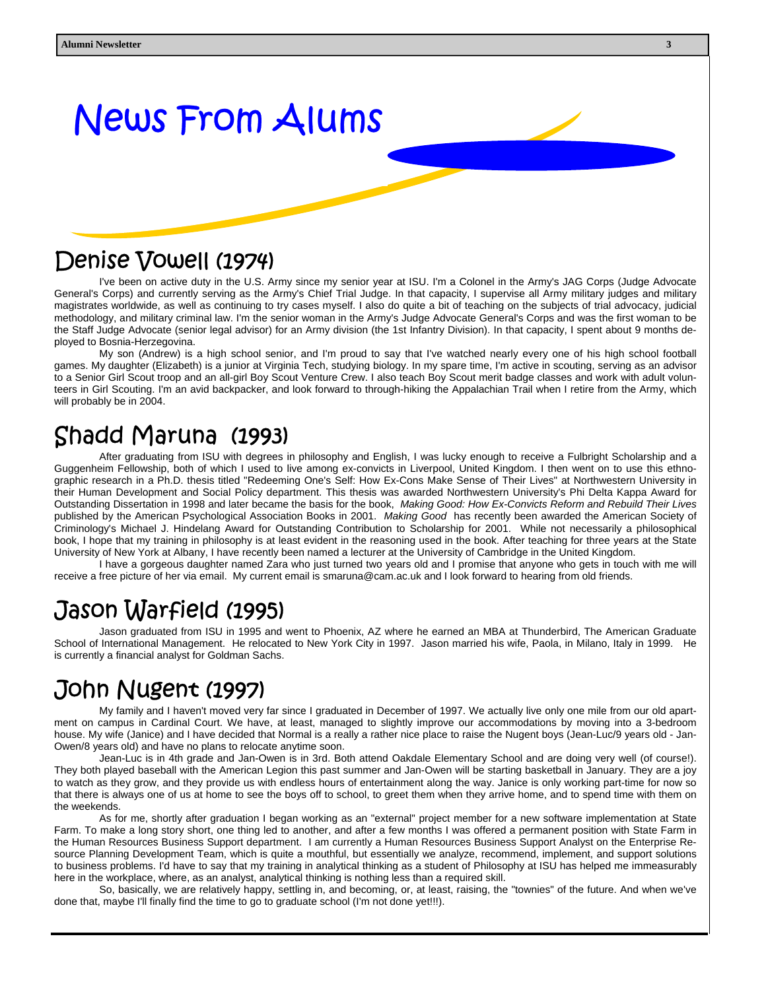# News From Alums

## Denise Vowell (1974)

I've been on active duty in the U.S. Army since my senior year at ISU. I'm a Colonel in the Army's JAG Corps (Judge Advocate General's Corps) and currently serving as the Army's Chief Trial Judge. In that capacity, I supervise all Army military judges and military magistrates worldwide, as well as continuing to try cases myself. I also do quite a bit of teaching on the subjects of trial advocacy, judicial methodology, and military criminal law. I'm the senior woman in the Army's Judge Advocate General's Corps and was the first woman to be the Staff Judge Advocate (senior legal advisor) for an Army division (the 1st Infantry Division). In that capacity, I spent about 9 months deployed to Bosnia-Herzegovina.

 My son (Andrew) is a high school senior, and I'm proud to say that I've watched nearly every one of his high school football games. My daughter (Elizabeth) is a junior at Virginia Tech, studying biology. In my spare time, I'm active in scouting, serving as an advisor to a Senior Girl Scout troop and an all-girl Boy Scout Venture Crew. I also teach Boy Scout merit badge classes and work with adult volunteers in Girl Scouting. I'm an avid backpacker, and look forward to through-hiking the Appalachian Trail when I retire from the Army, which will probably be in 2004.

## Shadd Maruna (1993)

After graduating from ISU with degrees in philosophy and English, I was lucky enough to receive a Fulbright Scholarship and a Guggenheim Fellowship, both of which I used to live among ex-convicts in Liverpool, United Kingdom. I then went on to use this ethnographic research in a Ph.D. thesis titled "Redeeming One's Self: How Ex-Cons Make Sense of Their Lives" at Northwestern University in their Human Development and Social Policy department. This thesis was awarded Northwestern University's Phi Delta Kappa Award for Outstanding Dissertation in 1998 and later became the basis for the book, *Making Good: How Ex-Convicts Reform and Rebuild Their Lives*  published by the American Psychological Association Books in 2001. *Making Good* has recently been awarded the American Society of Criminology's Michael J. Hindelang Award for Outstanding Contribution to Scholarship for 2001. While not necessarily a philosophical book, I hope that my training in philosophy is at least evident in the reasoning used in the book. After teaching for three years at the State University of New York at Albany, I have recently been named a lecturer at the University of Cambridge in the United Kingdom.

 I have a gorgeous daughter named Zara who just turned two years old and I promise that anyone who gets in touch with me will receive a free picture of her via email. My current email is smaruna@cam.ac.uk and I look forward to hearing from old friends.

## Jason Warfield (1995)

 Jason graduated from ISU in 1995 and went to Phoenix, AZ where he earned an MBA at Thunderbird, The American Graduate School of International Management. He relocated to New York City in 1997. Jason married his wife, Paola, in Milano, Italy in 1999. He is currently a financial analyst for Goldman Sachs.

## John Nugent (1997)

My family and I haven't moved very far since I graduated in December of 1997. We actually live only one mile from our old apartment on campus in Cardinal Court. We have, at least, managed to slightly improve our accommodations by moving into a 3-bedroom house. My wife (Janice) and I have decided that Normal is a really a rather nice place to raise the Nugent boys (Jean-Luc/9 years old - Jan-Owen/8 years old) and have no plans to relocate anytime soon.

 Jean-Luc is in 4th grade and Jan-Owen is in 3rd. Both attend Oakdale Elementary School and are doing very well (of course!). They both played baseball with the American Legion this past summer and Jan-Owen will be starting basketball in January. They are a joy to watch as they grow, and they provide us with endless hours of entertainment along the way. Janice is only working part-time for now so that there is always one of us at home to see the boys off to school, to greet them when they arrive home, and to spend time with them on the weekends.

 As for me, shortly after graduation I began working as an "external" project member for a new software implementation at State Farm. To make a long story short, one thing led to another, and after a few months I was offered a permanent position with State Farm in the Human Resources Business Support department. I am currently a Human Resources Business Support Analyst on the Enterprise Resource Planning Development Team, which is quite a mouthful, but essentially we analyze, recommend, implement, and support solutions to business problems. I'd have to say that my training in analytical thinking as a student of Philosophy at ISU has helped me immeasurably here in the workplace, where, as an analyst, analytical thinking is nothing less than a required skill.

 So, basically, we are relatively happy, settling in, and becoming, or, at least, raising, the "townies" of the future. And when we've done that, maybe I'll finally find the time to go to graduate school (I'm not done yet!!!).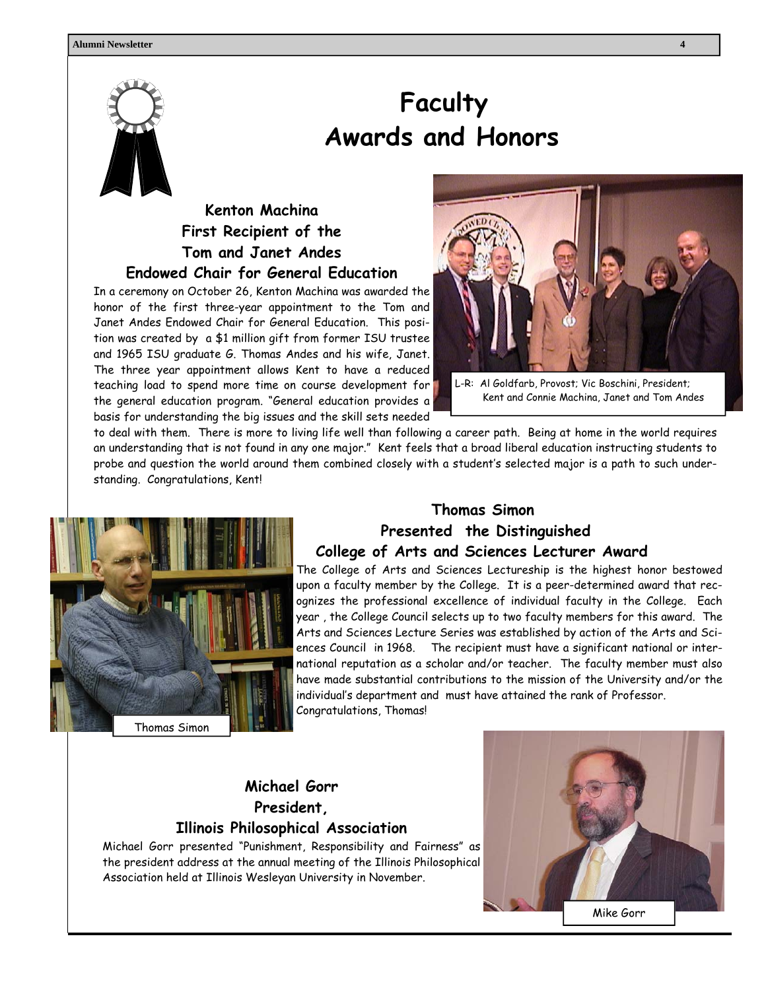

## **Faculty Awards and Honors**

#### **Kenton Machina First Recipient of the Tom and Janet Andes Endowed Chair for General Education**

In a ceremony on October 26, Kenton Machina was awarded the honor of the first three-year appointment to the Tom and Janet Andes Endowed Chair for General Education. This position was created by a \$1 million gift from former ISU trustee and 1965 ISU graduate G. Thomas Andes and his wife, Janet. The three year appointment allows Kent to have a reduced teaching load to spend more time on course development for the general education program. "General education provides a basis for understanding the big issues and the skill sets needed



L-R: Al Goldfarb, Provost; Vic Boschini, President; Kent and Connie Machina, Janet and Tom Andes

to deal with them. There is more to living life well than following a career path. Being at home in the world requires an understanding that is not found in any one major." Kent feels that a broad liberal education instructing students to probe and question the world around them combined closely with a student's selected major is a path to such understanding. Congratulations, Kent!



#### **Thomas Simon Presented the Distinguished College of Arts and Sciences Lecturer Award**

The College of Arts and Sciences Lectureship is the highest honor bestowed upon a faculty member by the College. It is a peer-determined award that recognizes the professional excellence of individual faculty in the College. Each year , the College Council selects up to two faculty members for this award. The Arts and Sciences Lecture Series was established by action of the Arts and Sciences Council in 1968. The recipient must have a significant national or international reputation as a scholar and/or teacher. The faculty member must also have made substantial contributions to the mission of the University and/or the individual's department and must have attained the rank of Professor. Congratulations, Thomas!

#### **Michael Gorr President, Illinois Philosophical Association**

Michael Gorr presented "Punishment, Responsibility and Fairness" as the president address at the annual meeting of the Illinois Philosophical Association held at Illinois Wesleyan University in November.

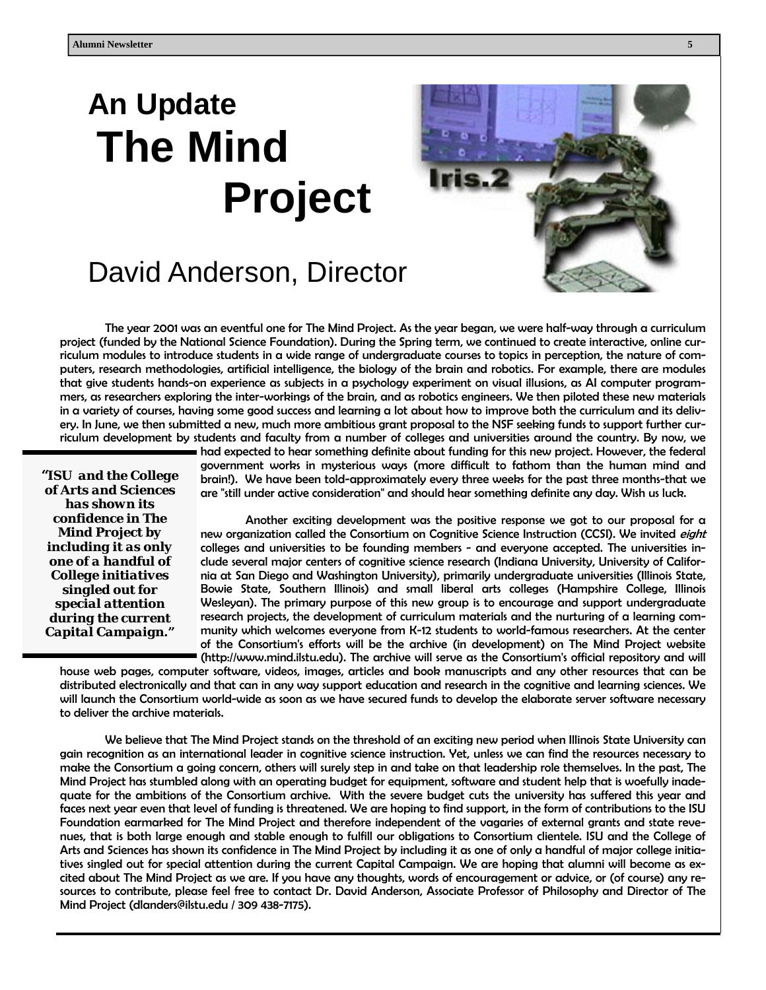# **An Update The Mind Project**



## David Anderson, Director

 The year 2001 was an eventful one for The Mind Project. As the year began, we were half-way through a curriculum project (funded by the National Science Foundation). During the Spring term, we continued to create interactive, online curriculum modules to introduce students in a wide range of undergraduate courses to topics in perception, the nature of computers, research methodologies, artificial intelligence, the biology of the brain and robotics. For example, there are modules that give students hands-on experience as subjects in a psychology experiment on visual illusions, as AI computer programmers, as researchers exploring the inter-workings of the brain, and as robotics engineers. We then piloted these new materials in a variety of courses, having some good success and learning a lot about how to improve both the curriculum and its delivery. In June, we then submitted a new, much more ambitious grant proposal to the NSF seeking funds to support further curriculum development by students and faculty from a number of colleges and universities around the country. By now, we

*"ISU and the College of Arts and Sciences has shown its confidence in The Mind Project by including it as only one of a handful of College initiatives singled out for special attention during the current Capital Campaign."* 

had expected to hear something definite about funding for this new project. However, the federal government works in mysterious ways (more difficult to fathom than the human mind and brain!). We have been told-approximately every three weeks for the past three months-that we are "still under active consideration" and should hear something definite any day. Wish us luck.

 Another exciting development was the positive response we got to our proposal for a new organization called the Consortium on Cognitive Science Instruction (CCSI). We invited *eight* colleges and universities to be founding members - and everyone accepted. The universities include several major centers of cognitive science research (Indiana University, University of California at San Diego and Washington University), primarily undergraduate universities (Illinois State, Bowie State, Southern Illinois) and small liberal arts colleges (Hampshire College, Illinois Wesleyan). The primary purpose of this new group is to encourage and support undergraduate research projects, the development of curriculum materials and the nurturing of a learning community which welcomes everyone from K-12 students to world-famous researchers. At the center of the Consortium's efforts will be the archive (in development) on The Mind Project website (http://www.mind.ilstu.edu). The archive will serve as the Consortium's official repository and will

house web pages, computer software, videos, images, articles and book manuscripts and any other resources that can be distributed electronically and that can in any way support education and research in the cognitive and learning sciences. We will launch the Consortium world-wide as soon as we have secured funds to develop the elaborate server software necessary to deliver the archive materials.

 We believe that The Mind Project stands on the threshold of an exciting new period when Illinois State University can gain recognition as an international leader in cognitive science instruction. Yet, unless we can find the resources necessary to make the Consortium a going concern, others will surely step in and take on that leadership role themselves. In the past, The Mind Project has stumbled along with an operating budget for equipment, software and student help that is woefully inadequate for the ambitions of the Consortium archive. With the severe budget cuts the university has suffered this year and faces next year even that level of funding is threatened. We are hoping to find support, in the form of contributions to the ISU Foundation earmarked for The Mind Project and therefore independent of the vagaries of external grants and state revenues, that is both large enough and stable enough to fulfill our obligations to Consortium clientele. ISU and the College of Arts and Sciences has shown its confidence in The Mind Project by including it as one of only a handful of major college initiatives singled out for special attention during the current Capital Campaign. We are hoping that alumni will become as excited about The Mind Project as we are. If you have any thoughts, words of encouragement or advice, or (of course) any resources to contribute, please feel free to contact Dr. David Anderson, Associate Professor of Philosophy and Director of The Mind Project (dlanders@ilstu.edu / 309 438-7175).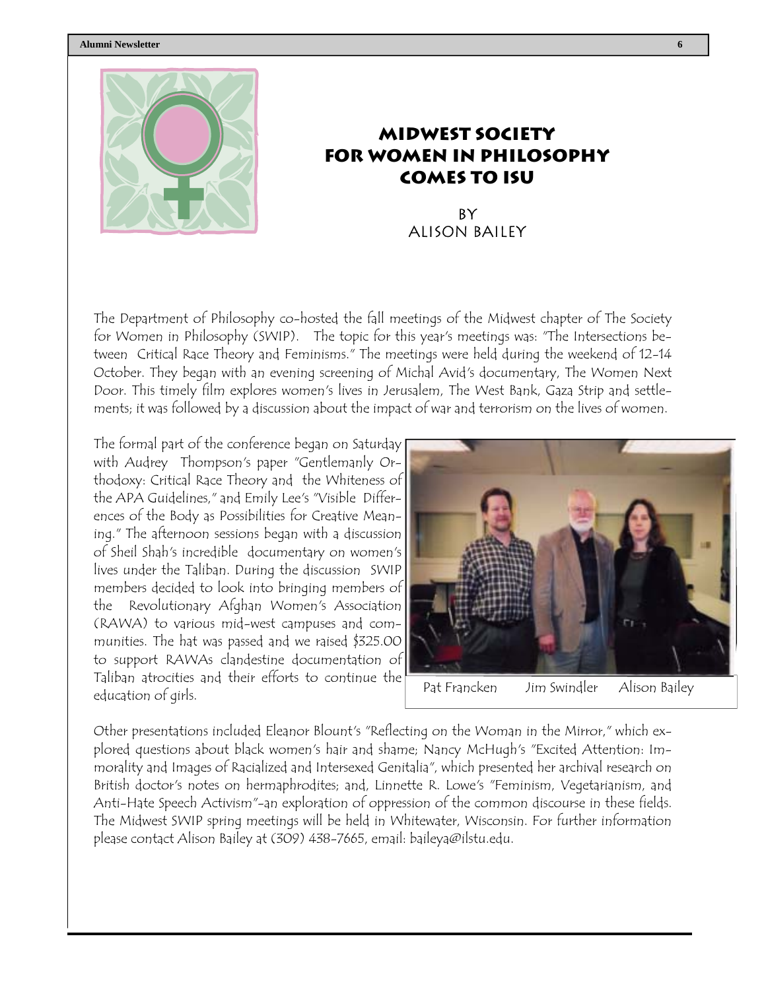#### **Alumni Newsletter 6**



### **Midwest Society for Women in Philosophy Comes to ISU**

**BY** Alison Bailey

The Department of Philosophy co-hosted the fall meetings of the Midwest chapter of The Society for Women in Philosophy (SWIP). The topic for this year's meetings was: "The Intersections between Critical Race Theory and Feminisms." The meetings were held during the weekend of 12-14 October. They began with an evening screening of Michal Avid's documentary, The Women Next Door. This timely film explores women's lives in Jerusalem, The West Bank, Gaza Strip and settlements; it was followed by a discussion about the impact of war and terrorism on the lives of women.

The formal part of the conference began on Saturday with Audrey Thompson's paper "Gentlemanly Orthodoxy: Critical Race Theory and the Whiteness of the APA Guidelines," and Emily Lee's "Visible Differences of the Body as Possibilities for Creative Meaning." The afternoon sessions began with a discussion of Sheil Shah's incredible documentary on women's lives under the Taliban. During the discussion SWIP members decided to look into bringing members of the Revolutionary Afghan Women's Association (RAWA) to various mid-west campuses and communities. The hat was passed and we raised \$325.00 to support RAWAs clandestine documentation of Taliban atrocities and their efforts to continue the education of girls.



Other presentations included Eleanor Blount's "Reflecting on the Woman in the Mirror," which explored questions about black women's hair and shame; Nancy McHugh's "Excited Attention: Immorality and Images of Racialized and Intersexed Genitalia", which presented her archival research on British doctor's notes on hermaphrodites; and, Linnette R. Lowe's "Feminism, Vegetarianism, and Anti-Hate Speech Activism"-an exploration of oppression of the common discourse in these fields. The Midwest SWIP spring meetings will be held in Whitewater, Wisconsin. For further information please contact Alison Bailey at (309) 438-7665, email: baileya@ilstu.edu.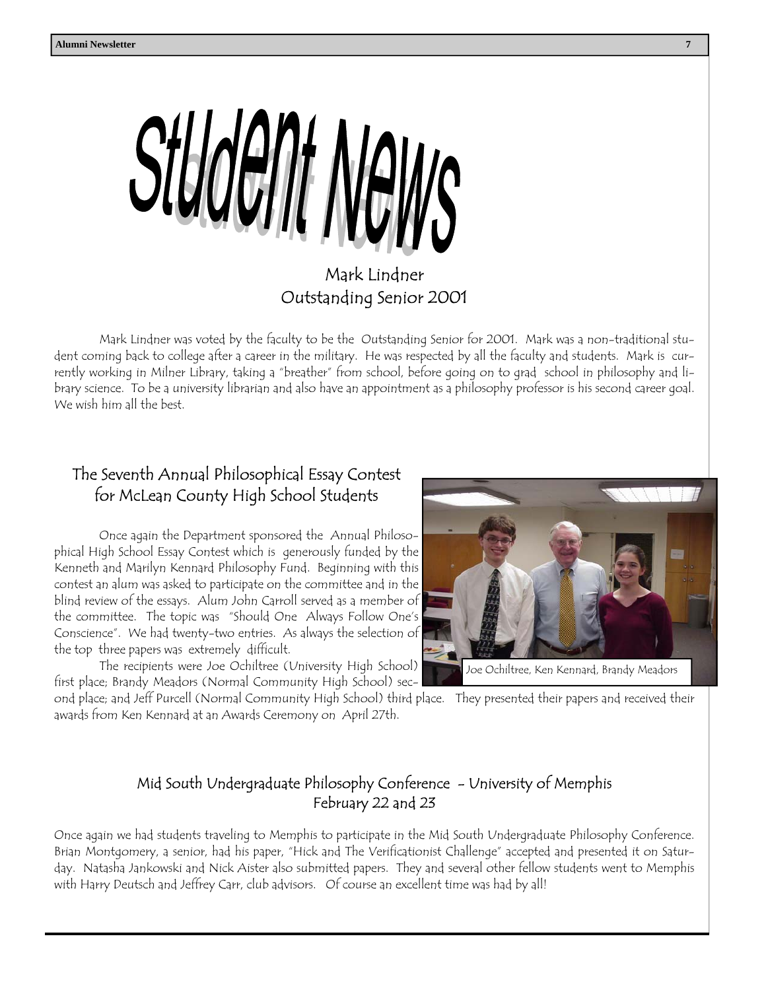

### Mark Lindner Outstanding Senior 2001

Mark Lindner was voted by the faculty to be the Outstanding Senior for 2001. Mark was a non-traditional student coming back to college after a career in the military. He was respected by all the faculty and students. Mark is currently working in Milner Library, taking a "breather" from school, before going on to grad school in philosophy and library science. To be a university librarian and also have an appointment as a philosophy professor is his second career goal. We wish him all the best.

#### The Seventh Annual Philosophical Essay Contest for McLean County High School Students

Once again the Department sponsored the Annual Philosophical High School Essay Contest which is generously funded by the Kenneth and Marilyn Kennard Philosophy Fund. Beginning with this contest an alum was asked to participate on the committee and in the blind review of the essays. Alum John Carroll served as a member of the committee. The topic was "Should One Always Follow One's Conscience". We had twenty-two entries. As always the selection of the top three papers was extremely difficult.

 The recipients were Joe Ochiltree (University High School) first place; Brandy Meadors (Normal Community High School) sec-



ond place; and Jeff Purcell (Normal Community High School) third place. They presented their papers and received their awards from Ken Kennard at an Awards Ceremony on April 27th.

#### Mid South Undergraduate Philosophy Conference - University of Memphis February 22 and 23

Once again we had students traveling to Memphis to participate in the Mid South Undergraduate Philosophy Conference. Brian Montgomery, a senior, had his paper, "Hick and The Verificationist Challenge" accepted and presented it on Saturday. Natasha Jankowski and Nick Aister also submitted papers. They and several other fellow students went to Memphis with Harry Deutsch and Jeffrey Carr, club advisors. Of course an excellent time was had by all!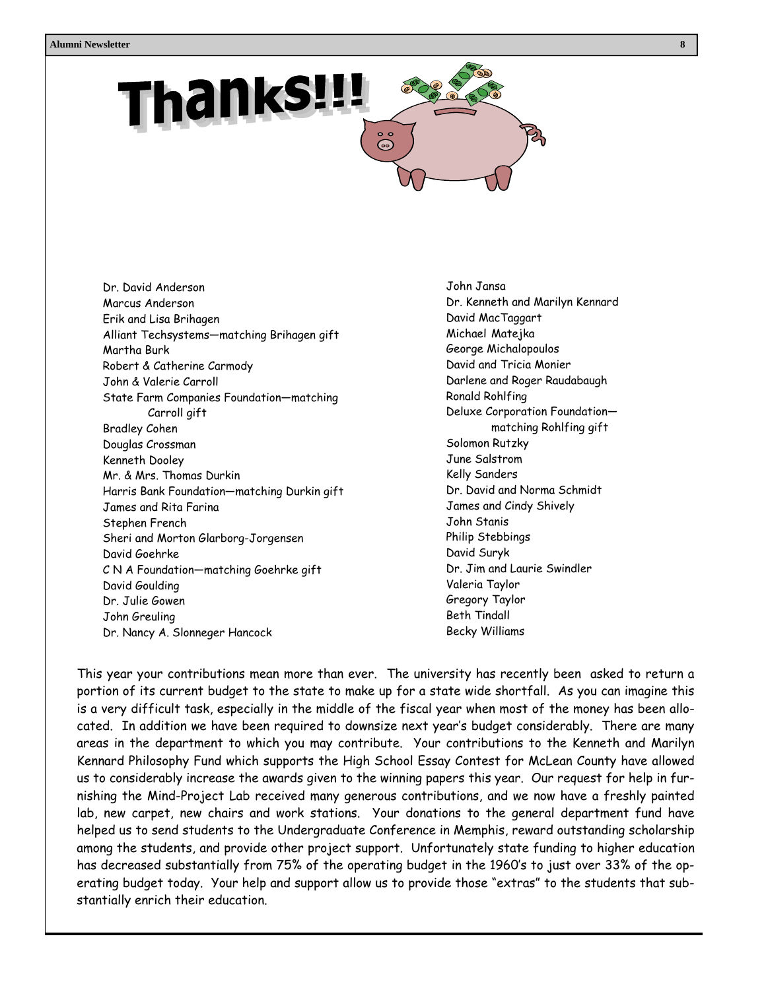

 Beth Tindall John Greuling Dr. David Anderson Marcus Anderson Erik and Lisa Brihagen Alliant Techsystems—matching Brihagen gift Martha Burk Robert & Catherine Carmody John & Valerie Carroll State Farm Companies Foundation—matching Carroll gift Bradley Cohen Douglas Crossman Kenneth Dooley Mr. & Mrs. Thomas Durkin Harris Bank Foundation—matching Durkin gift James and Rita Farina Stephen French Sheri and Morton Glarborg-Jorgensen David Goehrke C N A Foundation—matching Goehrke gift David Goulding Dr. Julie Gowen Dr. Nancy A. Slonneger Hancock

 John Jansa Dr. Kenneth and Marilyn Kennard David MacTaggart Michael Matejka George Michalopoulos David and Tricia Monier Darlene and Roger Raudabaugh Ronald Rohlfing Deluxe Corporation Foundation matching Rohlfing gift Solomon Rutzky June Salstrom Kelly Sanders Dr. David and Norma Schmidt James and Cindy Shively John Stanis Philip Stebbings David Suryk Dr. Jim and Laurie Swindler Valeria Taylor Gregory Taylor Becky Williams

This year your contributions mean more than ever. The university has recently been asked to return a portion of its current budget to the state to make up for a state wide shortfall. As you can imagine this is a very difficult task, especially in the middle of the fiscal year when most of the money has been allocated. In addition we have been required to downsize next year's budget considerably. There are many areas in the department to which you may contribute. Your contributions to the Kenneth and Marilyn Kennard Philosophy Fund which supports the High School Essay Contest for McLean County have allowed us to considerably increase the awards given to the winning papers this year. Our request for help in furnishing the Mind-Project Lab received many generous contributions, and we now have a freshly painted lab, new carpet, new chairs and work stations. Your donations to the general department fund have helped us to send students to the Undergraduate Conference in Memphis, reward outstanding scholarship among the students, and provide other project support. Unfortunately state funding to higher education has decreased substantially from 75% of the operating budget in the 1960's to just over 33% of the operating budget today. Your help and support allow us to provide those "extras" to the students that substantially enrich their education.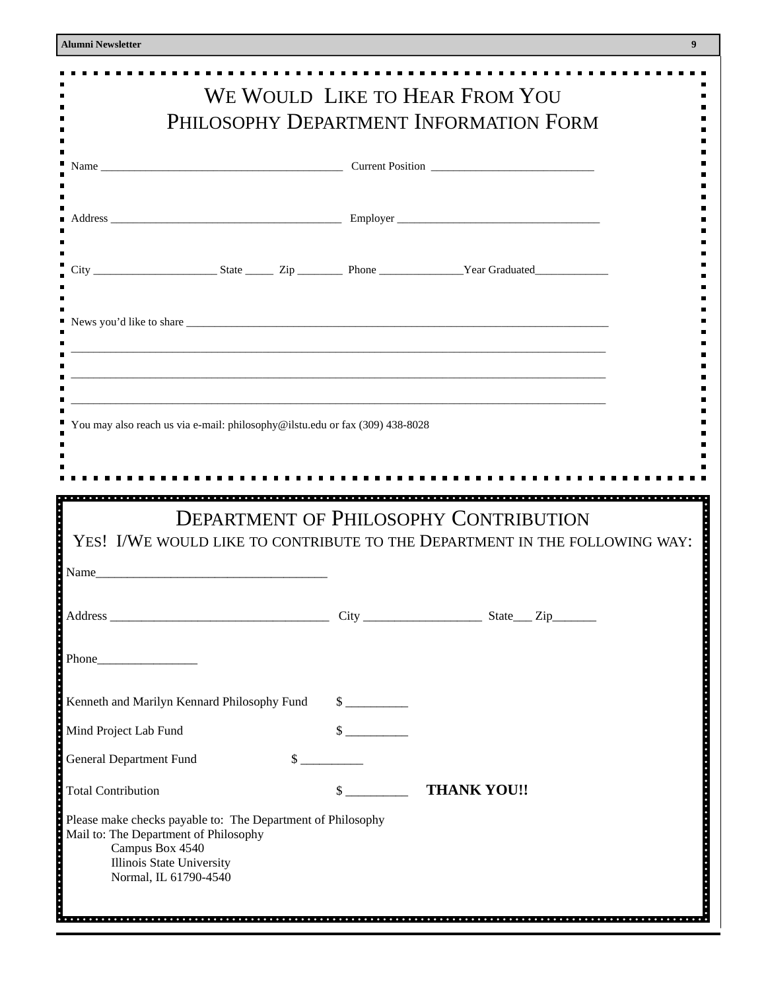$\blacksquare$ 

 $\blacksquare$ Ē.  $\blacksquare$  $\blacksquare$  $\blacksquare$  $\blacksquare$ × ٠ ×  $\blacksquare$  $\blacksquare$ Е  $\blacksquare$ 

п  $\blacksquare$ п

п  $\blacksquare$ 

٠

Б

 $\blacksquare$ 

| <b>Jumni Newsletter</b>                                                                              | 9                                                                                |
|------------------------------------------------------------------------------------------------------|----------------------------------------------------------------------------------|
|                                                                                                      | WE WOULD LIKE TO HEAR FROM YOU<br>PHILOSOPHY DEPARTMENT INFORMATION FORM         |
|                                                                                                      |                                                                                  |
|                                                                                                      |                                                                                  |
|                                                                                                      |                                                                                  |
|                                                                                                      |                                                                                  |
|                                                                                                      | ,我们也不能在这里,我们也不能在这里的时候,我们也不能会不能会不能会不能会不能会不能会不能会。""我们的人们,我们也不能会不能会不能会不能会不能会不能会不能会不 |
| You may also reach us via e-mail: philosophy@ilstu.edu or fax (309) 438-8028                         | <b>DEPARTMENT OF PHILOSOPHY CONTRIBUTION</b>                                     |
|                                                                                                      | YES! I/WE WOULD LIKE TO CONTRIBUTE TO THE DEPARTMENT IN THE FOLLOWING WAY:       |
| Name                                                                                                 |                                                                                  |
|                                                                                                      |                                                                                  |
| $Phone$                                                                                              |                                                                                  |
| Kenneth and Marilyn Kennard Philosophy Fund                                                          | $\frac{\text{S}}{\text{S}}$                                                      |
| Mind Project Lab Fund                                                                                | $\frac{\text{S}}{\text{S}}$                                                      |
| <b>General Department Fund</b>                                                                       | $\frac{\sqrt{2}}{2}$                                                             |
| <b>Total Contribution</b>                                                                            | $\frac{1}{2}$<br><b>THANK YOU!!</b>                                              |
| Please make checks payable to: The Department of Philosophy<br>Mail to: The Department of Philosophy |                                                                                  |

 Campus Box 4540 Illinois State University Normal, IL 61790-4540